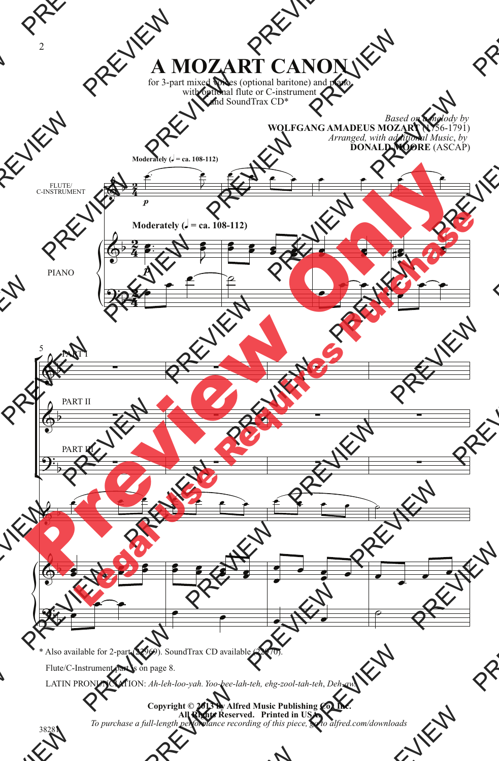**A MOZART CANON**

for 3-part mixed voices (optional baritone) and piano with optional flute or C-instrument and SoundTrax CD\*



\* Also available for 2-part (22969). SoundTrax CD available (22970).

Flute/C-Instrument part is on page 8.

LATIN PRONUNCIATION: *Ah-leh-loo-yah. Yoo-bee-lah-teh, ehg-zool-tah-teh*, *Deh-aw.*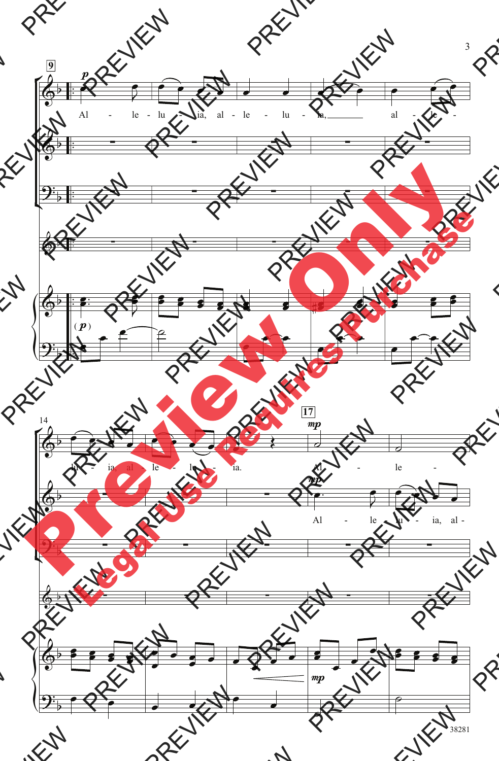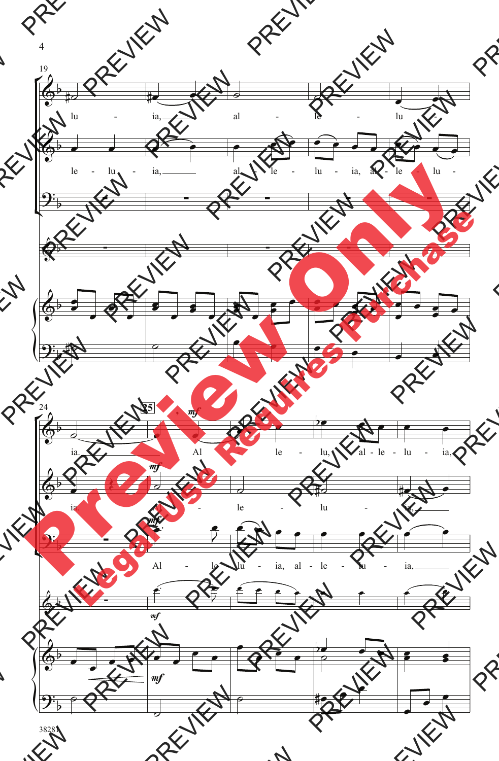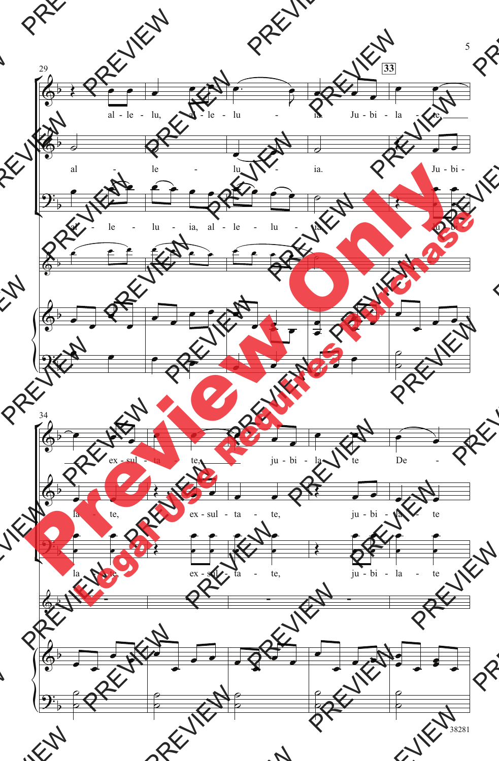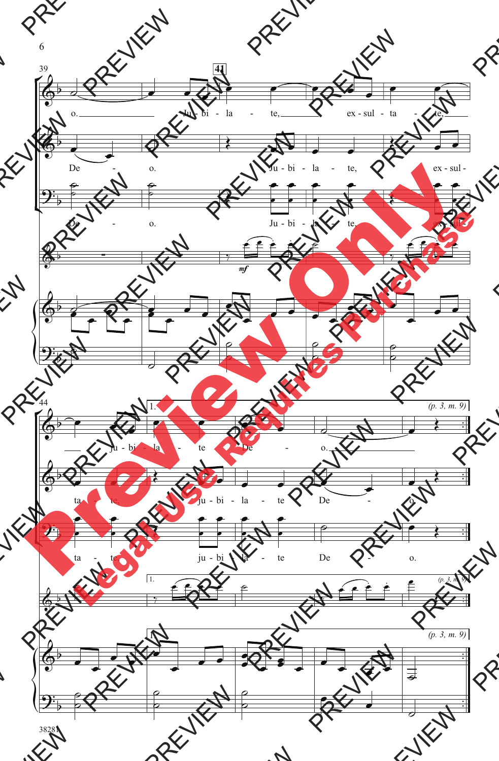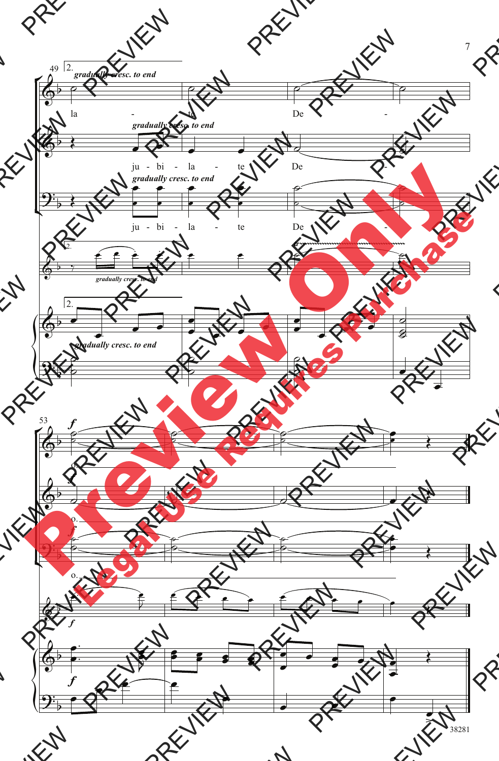